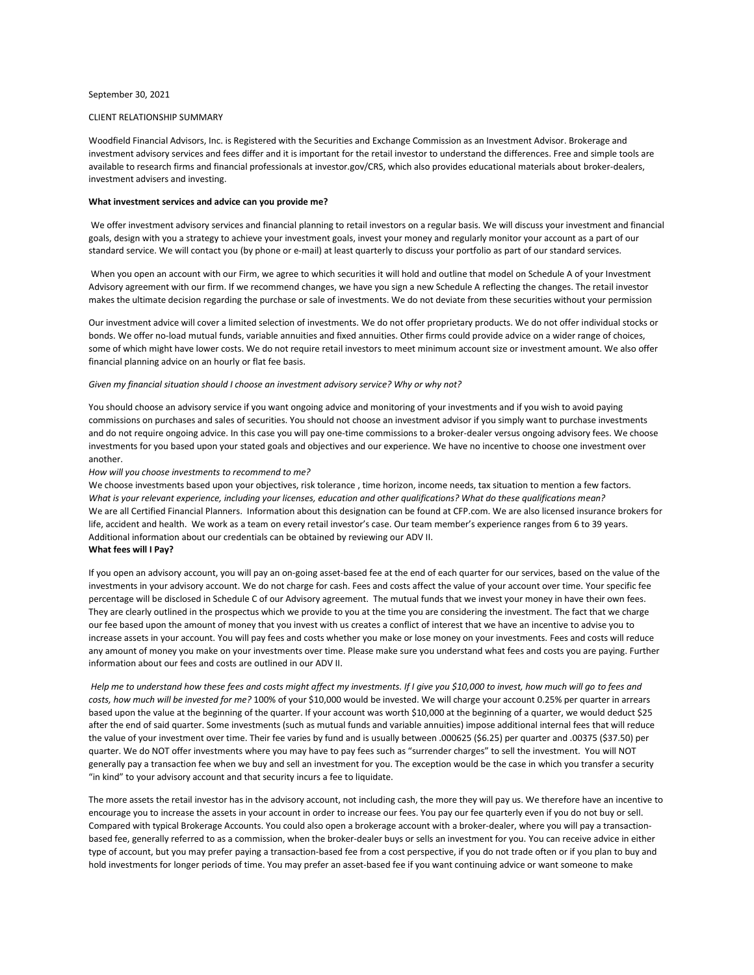#### September 30, 2021

#### CLIENT RELATIONSHIP SUMMARY

Woodfield Financial Advisors, Inc. is Registered with the Securities and Exchange Commission as an Investment Advisor. Brokerage and investment advisory services and fees differ and it is important for the retail investor to understand the differences. Free and simple tools are available to research firms and financial professionals at investor.gov/CRS, which also provides educational materials about broker-dealers, investment advisers and investing.

### **What investment services and advice can you provide me?**

We offer investment advisory services and financial planning to retail investors on a regular basis. We will discuss your investment and financial goals, design with you a strategy to achieve your investment goals, invest your money and regularly monitor your account as a part of our standard service. We will contact you (by phone or e‐mail) at least quarterly to discuss your portfolio as part of our standard services.

When you open an account with our Firm, we agree to which securities it will hold and outline that model on Schedule A of your Investment Advisory agreement with our firm. If we recommend changes, we have you sign a new Schedule A reflecting the changes. The retail investor makes the ultimate decision regarding the purchase or sale of investments. We do not deviate from these securities without your permission

Our investment advice will cover a limited selection of investments. We do not offer proprietary products. We do not offer individual stocks or bonds. We offer no-load mutual funds, variable annuities and fixed annuities. Other firms could provide advice on a wider range of choices, some of which might have lower costs. We do not require retail investors to meet minimum account size or investment amount. We also offer financial planning advice on an hourly or flat fee basis.

#### *Given my financial situation should I choose an investment advisory service? Why or why not?*

You should choose an advisory service if you want ongoing advice and monitoring of your investments and if you wish to avoid paying commissions on purchases and sales of securities. You should not choose an investment advisor if you simply want to purchase investments and do not require ongoing advice. In this case you will pay one-time commissions to a broker-dealer versus ongoing advisory fees. We choose investments for you based upon your stated goals and objectives and our experience. We have no incentive to choose one investment over another.

### *How will you choose investments to recommend to me?*

We choose investments based upon your objectives, risk tolerance , time horizon, income needs, tax situation to mention a few factors. *What is your relevant experience, including your licenses, education and other qualifications? What do these qualifications mean?* We are all Certified Financial Planners. Information about this designation can be found at CFP.com. We are also licensed insurance brokers for life, accident and health. We work as a team on every retail investor's case. Our team member's experience ranges from 6 to 39 years. Additional information about our credentials can be obtained by reviewing our ADV II. **What fees will I Pay?** 

# If you open an advisory account, you will pay an on‐going asset‐based fee at the end of each quarter for our services, based on the value of the investments in your advisory account. We do not charge for cash. Fees and costs affect the value of your account over time. Your specific fee percentage will be disclosed in Schedule C of our Advisory agreement. The mutual funds that we invest your money in have their own fees. They are clearly outlined in the prospectus which we provide to you at the time you are considering the investment. The fact that we charge our fee based upon the amount of money that you invest with us creates a conflict of interest that we have an incentive to advise you to increase assets in your account. You will pay fees and costs whether you make or lose money on your investments. Fees and costs will reduce any amount of money you make on your investments over time. Please make sure you understand what fees and costs you are paying. Further information about our fees and costs are outlined in our ADV II.

*Help me to understand how these fees and costs might affect my investments. If I give you \$10,000 to invest, how much will go to fees and costs, how much will be invested for me?* 100% of your \$10,000 would be invested. We will charge your account 0.25% per quarter in arrears based upon the value at the beginning of the quarter. If your account was worth \$10,000 at the beginning of a quarter, we would deduct \$25 after the end of said quarter. Some investments (such as mutual funds and variable annuities) impose additional internal fees that will reduce the value of your investment over time. Their fee varies by fund and is usually between .000625 (\$6.25) per quarter and .00375 (\$37.50) per quarter. We do NOT offer investments where you may have to pay fees such as "surrender charges" to sell the investment. You will NOT generally pay a transaction fee when we buy and sell an investment for you. The exception would be the case in which you transfer a security "in kind" to your advisory account and that security incurs a fee to liquidate.

The more assets the retail investor has in the advisory account, not including cash, the more they will pay us. We therefore have an incentive to encourage you to increase the assets in your account in order to increase our fees. You pay our fee quarterly even if you do not buy or sell. Compared with typical Brokerage Accounts. You could also open a brokerage account with a broker-dealer, where you will pay a transactionbased fee, generally referred to as a commission, when the broker‐dealer buys or sells an investment for you. You can receive advice in either type of account, but you may prefer paying a transaction‐based fee from a cost perspective, if you do not trade often or if you plan to buy and hold investments for longer periods of time. You may prefer an asset‐based fee if you want continuing advice or want someone to make